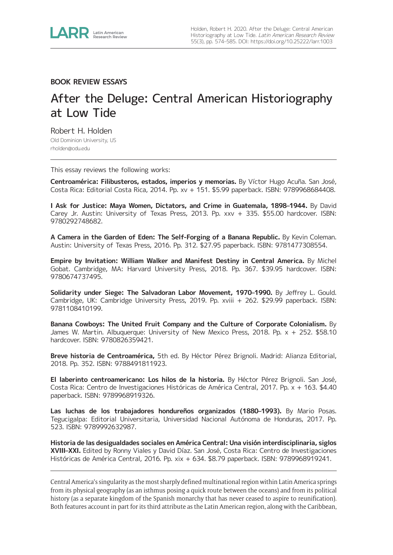

## **BOOK REVIEW ESSAYS**

## After the Deluge: Central American Historiography at Low Tide

Robert H. Holden Old Dominion University, US [rholden@odu.edu](mailto:rholden@odu.edu)

This essay reviews the following works:

**Centroamérica: Filibusteros, estados, imperios y memorias.** By Víctor Hugo Acuña. San José, Costa Rica: Editorial Costa Rica, 2014. Pp. xv + 151. \$5.99 paperback. ISBN: 9789968684408.

**I Ask for Justice: Maya Women, Dictators, and Crime in Guatemala, 1898–1944.** By David Carey Jr. Austin: University of Texas Press, 2013. Pp. xxv + 335. \$55.00 hardcover. ISBN: 9780292748682.

**A Camera in the Garden of Eden: The Self-Forging of a Banana Republic.** By Kevin Coleman. Austin: University of Texas Press, 2016. Pp. 312. \$27.95 paperback. ISBN: 9781477308554.

**Empire by Invitation: William Walker and Manifest Destiny in Central America.** By Michel Gobat. Cambridge, MA: Harvard University Press, 2018. Pp. 367. \$39.95 hardcover. ISBN: 9780674737495.

**Solidarity under Siege: The Salvadoran Labor Movement, 1970–1990.** By Jeffrey L. Gould. Cambridge, UK: Cambridge University Press, 2019. Pp. xviii + 262. \$29.99 paperback. ISBN: 9781108410199.

**Banana Cowboys: The United Fruit Company and the Culture of Corporate Colonialism.** By James W. Martin. Albuquerque: University of New Mexico Press, 2018. Pp. x + 252. \$58.10 hardcover. ISBN: 9780826359421.

**Breve historia de Centroamérica,** 5th ed. By Héctor Pérez Brignoli. Madrid: Alianza Editorial, 2018. Pp. 352. ISBN: 9788491811923.

**El laberinto centroamericano: Los hilos de la historia.** By Héctor Pérez Brignoli. San José, Costa Rica: Centro de Investigaciones Históricas de América Central, 2017. Pp. x + 163. \$4.40 paperback. ISBN: 9789968919326.

**Las luchas de los trabajadores hondureños organizados (1880–1993).** By Mario Posas. Tegucigalpa: Editorial Universitaria, Universidad Nacional Autónoma de Honduras, 2017. Pp. 523. ISBN: 9789992632987.

**Historia de las desigualdades sociales en América Central: Una visión interdisciplinaria, siglos XVIII–XXI.** Edited by Ronny Viales y David Díaz. San José, Costa Rica: Centro de Investigaciones Históricas de América Central, 2016. Pp. xix + 634. \$8.79 paperback. ISBN: 9789968919241.

Central America's singularity as the most sharply defined multinational region within Latin America springs from its physical geography (as an isthmus posing a quick route between the oceans) and from its political history (as a separate kingdom of the Spanish monarchy that has never ceased to aspire to reunification). Both features account in part for its third attribute as the Latin American region, along with the Caribbean,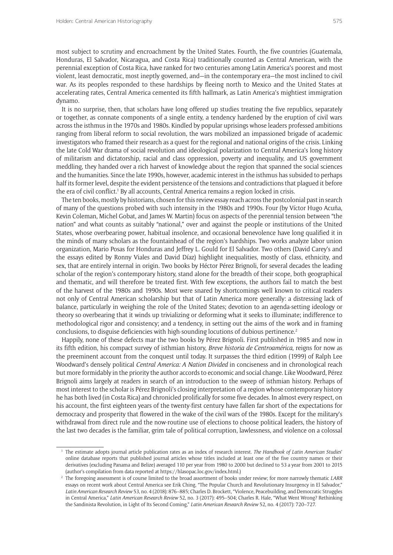most subject to scrutiny and encroachment by the United States. Fourth, the five countries (Guatemala, Honduras, El Salvador, Nicaragua, and Costa Rica) traditionally counted as Central American, with the perennial exception of Costa Rica, have ranked for two centuries among Latin America's poorest and most violent, least democratic, most ineptly governed, and—in the contemporary era—the most inclined to civil war. As its peoples responded to these hardships by fleeing north to Mexico and the United States at accelerating rates, Central America cemented its fifth hallmark, as Latin America's mightiest immigration dynamo.

It is no surprise, then, that scholars have long offered up studies treating the five republics, separately or together, as connate components of a single entity, a tendency hardened by the eruption of civil wars across the isthmus in the 1970s and 1980s. Kindled by popular uprisings whose leaders professed ambitions ranging from liberal reform to social revolution, the wars mobilized an impassioned brigade of academic investigators who framed their research as a quest for the regional and national origins of the crisis. Linking the late Cold War drama of social revolution and ideological polarization to Central America's long history of militarism and dictatorship, racial and class oppression, poverty and inequality, and US government meddling, they handed over a rich harvest of knowledge about the region that spanned the social sciences and the humanities. Since the late 1990s, however, academic interest in the isthmus has subsided to perhaps half its former level, despite the evident persistence of the tensions and contradictions that plagued it before the era of civil conflict.' By all accounts, Central America remains a region locked in crisis.

The ten books, mostly by historians, chosen for this review essay reach across the postcolonial past in search of many of the questions probed with such intensity in the 1980s and 1990s. Four (by Víctor Hugo Acuña, Kevin Coleman, Michel Gobat, and James W. Martin) focus on aspects of the perennial tension between "the nation" and what counts as suitably "national," over and against the people or institutions of the United States, whose overbearing power, habitual insolence, and occasional benevolence have long qualified it in the minds of many scholars as the fountainhead of the region's hardships. Two works analyze labor union organization, Mario Posas for Honduras and Jeffrey L. Gould for El Salvador. Two others (David Carey's and the essays edited by Ronny Viales and David Díaz) highlight inequalities, mostly of class, ethnicity, and sex, that are entirely internal in origin. Two books by Héctor Pérez Brignoli, for several decades the leading scholar of the region's contemporary history, stand alone for the breadth of their scope, both geographical and thematic, and will therefore be treated first. With few exceptions, the authors fail to match the best of the harvest of the 1980s and 1990s. Most were snared by shortcomings well known to critical readers not only of Central American scholarship but that of Latin America more generally: a distressing lack of balance, particularly in weighing the role of the United States; devotion to an agenda-setting ideology or theory so overbearing that it winds up trivializing or deforming what it seeks to illuminate; indifference to methodological rigor and consistency; and a tendency, in setting out the aims of the work and in framing conclusions, to disguise deficiencies with high-sounding locutions of dubious pertinence.2

Happily, none of these defects mar the two books by Pérez Brignoli. First published in 1985 and now in its fifth edition, his compact survey of isthmian history, *Breve historia de Centroamérica*, reigns for now as the preeminent account from the conquest until today. It surpasses the third edition (1999) of Ralph Lee Woodward's densely political *Central America: A Nation Divided* in conciseness and in chronological reach but more formidably in the priority the author accords to economic and social change. Like Woodward, Pérez Brignoli aims largely at readers in search of an introduction to the sweep of isthmian history. Perhaps of most interest to the scholar is Pérez Brignoli's closing interpretation of a region whose contemporary history he has both lived (in Costa Rica) and chronicled prolifically for some five decades. In almost every respect, on his account, the first eighteen years of the twenty-first century have fallen far short of the expectations for democracy and prosperity that flowered in the wake of the civil wars of the 1980s. Except for the military's withdrawal from direct rule and the now-routine use of elections to choose political leaders, the history of the last two decades is the familiar, grim tale of political corruption, lawlessness, and violence on a colossal

<sup>1</sup> The estimate adopts journal article publication rates as an index of research interest. *The Handbook of Latin American Studies*' online database reports that published journal articles whose titles included at least one of the five country names or their derivatives (excluding Panama and Belize) averaged 110 per year from 1980 to 2000 but declined to 53 a year from 2001 to 2015 (author's compilation from data reported at <https://hlasopac.loc.gov/index.html>.)

<sup>2</sup> The foregoing assessment is of course limited to the broad assortment of books under review; for more narrowly thematic *LARR* essays on recent work about Central America see Erik Ching, "The Popular Church and Revolutionary Insurgency in El Salvador," *Latin American Research Review* 53, no. 4 (2018): 876–885; Charles D. Brockett, "Violence, Peacebuilding, and Democratic Struggles in Central America," *Latin American Research Review* 52, no. 3 (2017): 495–504; Charles R. Hale, "What Went Wrong? Rethinking the Sandinista Revolution, in Light of Its Second Coming," *Latin American Research Review* 52, no. 4 (2017): 720–727.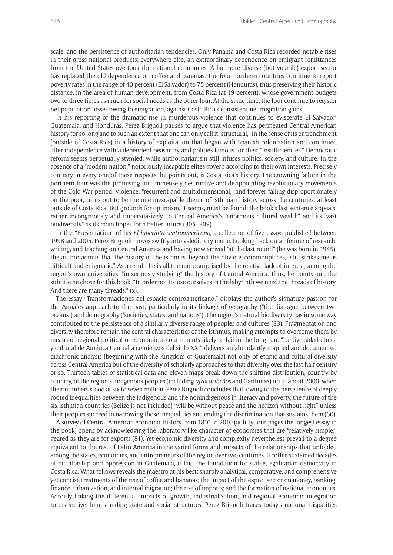scale, and the persistence of authoritarian tendencies. Only Panama and Costa Rica recorded notable rises in their gross national products; everywhere else, an extraordinary dependence on emigrant remittances from the United States overtook the national economies. A far more diverse (but volatile) export sector has replaced the old dependence on coffee and bananas. The four northern countries continue to report poverty rates in the range of 40 percent (El Salvador) to 75 percent (Honduras), thus preserving their historic distance, in the area of human development, from Costa Rica (at 19 percent), whose government budgets two to three times as much for social needs as the other four. At the same time, the four continue to register net population losses owing to emigration, against Costa Rica's consistent net migration gains.

In his reporting of the dramatic rise in murderous violence that continues to eviscerate El Salvador, Guatemala, and Honduras, Pérez Brignoli pauses to argue that violence has permeated Central American history for so long and to such an extent that one can only call it "structural," in the sense of its entrenchment (outside of Costa Rica) in a history of exploitation that began with Spanish colonization and continued after independence with a dependent peasantry and polities famous for their "insufficiencies." Democratic reform seems perpetually stymied, while authoritarianism still infuses politics, society, and culture. In the absence of a "modern nation," notoriously incapable elites govern according to their own interests. Precisely contrary in every one of these respects, he points out, is Costa Rica's history. The crowning failure in the northern four was the promising but immensely destructive and disappointing revolutionary movements of the Cold War period. Violence, "recurrent and multidimensional," and forever falling disproportionately on the poor, turns out to be the one inescapable theme of isthmian history across the centuries, at least outside of Costa Rica. But grounds for optimism, it seems, must be found; the book's last sentence appeals, rather incongruously and unpersuasively, to Central America's "enormous cultural wealth" and its "vast biodiversity" as its main hopes for a better future (305–309).

In the "Presentación" of his *El laberinto centroamericano*, a collection of five essays published between 1998 and 2005, Pérez Brignoli moves swiftly into valedictory mode. Looking back on a lifetime of research, writing, and teaching on Central America and having now arrived "at the last round" (he was born in 1945), the author admits that the history of the isthmus, beyond the obvious commonplaces, "still strikes me as difficult and enigmatic." As a result, he is all the more surprised by the relative lack of interest, among the region's own universities, "in seriously studying" the history of Central America. Thus, he points out, the subtitle he chose for this book: "In order not to lose ourselves in the labyrinth we need the threads of history. And there are many threads." (x).

The essay "Transformaciones del espacio centroamericano," displays the author's signature passion for the Annales approach to the past, particularly in its linkage of geography ("the dialogue between two oceans") and demography ("societies, states, and nations"). The region's natural biodiversity has in some way contributed to the persistence of a similarly diverse range of peoples and cultures (33). Fragmentation and diversity therefore remain the central characteristics of the isthmus, making attempts to overcome them by means of regional political or economic accoutrements likely to fail in the long run. "La diversidad étnica y cultural de América Central a comienzos del siglo XXI" delivers an abundantly mapped and documented diachronic analysis (beginning with the Kingdom of Guatemala) not only of ethnic and cultural diversity across Central America but of the diversity of scholarly approaches to that diversity over the last half century or so. Thirteen tables of statistical data and eleven maps break down the shifting distribution, country by country, of the region's indigenous peoples (including *afrocaribeños* and Garífunas) up to about 2000, when their numbers stood at six to seven million. Pérez Brignoli concludes that, owing to the persistence of deeply rooted inequalities between the indigenous and the nonindigenous in literacy and poverty, the future of the six isthmian countries (Belize is not included) "will be without peace and the horizon without light" unless their peoples succeed in narrowing those inequalities and ending the discrimination that sustains them (60).

A survey of Central American economic history from 1810 to 2010 (at fifty-four pages the longest essay in the book) opens by acknowledging the laboratory-like character of economies that are "relatively simple," geared as they are for exports (81). Yet economic diversity and complexity nevertheless prevail to a degree equivalent to the rest of Latin America in the varied forms and impacts of the relationships that unfolded among the states, economies, and entrepreneurs of the region over two centuries. If coffee sustained decades of dictatorship and oppression in Guatemala, it laid the foundation for stable, egalitarian democracy in Costa Rica. What follows reveals the maestro at his best: sharply analytical, comparative, and comprehensive yet concise treatments of the rise of coffee and bananas; the impact of the export sector on money, banking, finance, urbanization, and internal migration; the rise of imports; and the formation of national economies. Adroitly linking the differential impacts of growth, industrialization, and regional economic integration to distinctive, long-standing state and social structures, Pérez Brignoli traces today's national disparities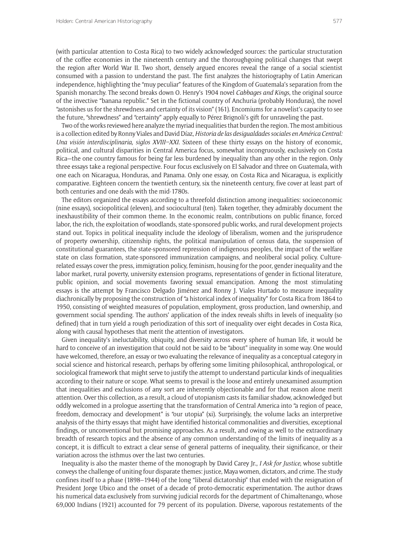(with particular attention to Costa Rica) to two widely acknowledged sources: the particular structuration of the coffee economies in the nineteenth century and the thoroughgoing political changes that swept the region after World War II. Two short, densely argued encores reveal the range of a social scientist consumed with a passion to understand the past. The first analyzes the historiography of Latin American independence, highlighting the "muy peculiar" features of the Kingdom of Guatemala's separation from the Spanish monarchy. The second breaks down O. Henry's 1904 novel *Cabbages and Kings*, the original source of the invective "banana republic." Set in the fictional country of Anchuria (probably Honduras), the novel "astonishes us for the shrewdness and certainty of its vision" (161). Encomiums for a novelist's capacity to see the future, "shrewdness" and "certainty" apply equally to Pérez Brignoli's gift for unraveling the past.

Two of the works reviewed here analyze the myriad inequalities that burden the region. The most ambitious is a collection edited by Ronny Viales and David Díaz, *Historia de las desigualdades sociales en América Central: Una visión interdisciplinaria, siglos XVIII–XXI.* Sixteen of these thirty essays on the history of economic, political, and cultural disparities in Central America focus, somewhat incongruously, exclusively on Costa Rica—the one country famous for being far less burdened by inequality than any other in the region. Only three essays take a regional perspective. Four focus exclusively on El Salvador and three on Guatemala, with one each on Nicaragua, Honduras, and Panama. Only one essay, on Costa Rica and Nicaragua, is explicitly comparative. Eighteen concern the twentieth century, six the nineteenth century, five cover at least part of both centuries and one deals with the mid-1780s.

The editors organized the essays according to a threefold distinction among inequalities: socioeconomic (nine essays), sociopolitical (eleven), and sociocultural (ten). Taken together, they admirably document the inexhaustibility of their common theme. In the economic realm, contributions on public finance, forced labor, the rich, the exploitation of woodlands, state-sponsored public works, and rural development projects stand out. Topics in political inequality include the ideology of liberalism, women and the jurisprudence of property ownership, citizenship rights, the political manipulation of census data, the suspension of constitutional guarantees, the state-sponsored repression of indigenous peoples, the impact of the welfare state on class formation, state-sponsored immunization campaigns, and neoliberal social policy. Culturerelated essays cover the press, immigration policy, feminism, housing for the poor, gender inequality and the labor market, rural poverty, university extension programs, representations of gender in fictional literature, public opinion, and social movements favoring sexual emancipation. Among the most stimulating essays is the attempt by Francisco Delgado Jiménez and Ronny J. Viales Hurtado to measure inequality diachronically by proposing the construction of "a historical index of inequality" for Costa Rica from 1864 to 1950, consisting of weighted measures of population, employment, gross production, land ownership, and government social spending. The authors' application of the index reveals shifts in levels of inequality (so defined) that in turn yield a rough periodization of this sort of inequality over eight decades in Costa Rica, along with causal hypotheses that merit the attention of investigators.

Given inequality's ineluctability, ubiquity, and diversity across every sphere of human life, it would be hard to conceive of an investigation that could not be said to be "about" inequality in some way. One would have welcomed, therefore, an essay or two evaluating the relevance of inequality as a conceptual category in social science and historical research, perhaps by offering some limiting philosophical, anthropological, or sociological framework that might serve to justify the attempt to understand particular kinds of inequalities according to their nature or scope. What seems to prevail is the loose and entirely unexamined assumption that inequalities and exclusions of any sort are inherently objectionable and for that reason alone merit attention. Over this collection, as a result, a cloud of utopianism casts its familiar shadow, acknowledged but oddly welcomed in a prologue asserting that the transformation of Central America into "a region of peace, freedom, democracy and development" is "our utopia" (xi). Surprisingly, the volume lacks an interpretive analysis of the thirty essays that might have identified historical commonalities and diversities, exceptional findings, or unconventional but promising approaches. As a result, and owing as well to the extraordinary breadth of research topics and the absence of any common understanding of the limits of inequality as a concept, it is difficult to extract a clear sense of general patterns of inequality, their significance, or their variation across the isthmus over the last two centuries.

Inequality is also the master theme of the monograph by David Carey Jr., *I Ask for Justice*, whose subtitle conveys the challenge of uniting four disparate themes: justice, Maya women, dictators, and crime. The study confines itself to a phase (1898–1944) of the long "liberal dictatorship" that ended with the resignation of President Jorge Ubico and the onset of a decade of proto-democratic experimentation. The author draws his numerical data exclusively from surviving judicial records for the department of Chimaltenango, whose 69,000 Indians (1921) accounted for 79 percent of its population. Diverse, vaporous restatements of the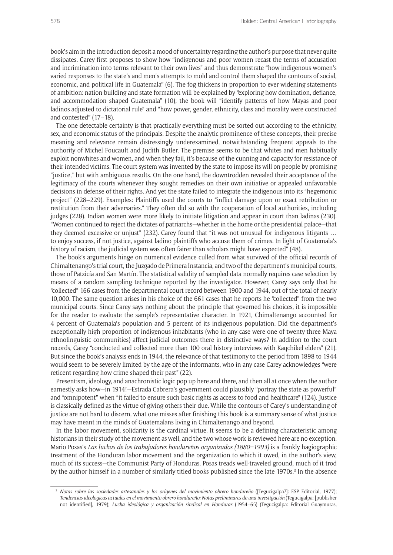book's aim in the introduction deposit a mood of uncertainty regarding the author's purpose that never quite dissipates. Carey first proposes to show how "indigenous and poor women recast the terms of accusation and incrimination into terms relevant to their own lives" and thus demonstrate "how indigenous women's varied responses to the state's and men's attempts to mold and control them shaped the contours of social, economic, and political life in Guatemala" (6). The fog thickens in proportion to ever-widening statements of ambition: nation building and state formation will be explained by "exploring how domination, defiance, and accommodation shaped Guatemala" (10); the book will "identify patterns of how Mayas and poor ladinos adjusted to dictatorial rule" and "how power, gender, ethnicity, class and morality were constructed and contested" (17–18).

The one detectable certainty is that practically everything must be sorted out according to the ethnicity, sex, and economic status of the principals. Despite the analytic prominence of these concepts, their precise meaning and relevance remain distressingly underexamined, notwithstanding frequent appeals to the authority of Michel Foucault and Judith Butler. The premise seems to be that whites and men habitually exploit nonwhites and women, and when they fail, it's because of the cunning and capacity for resistance of their intended victims. The court system was invented by the state to impose its will on people by promising "justice," but with ambiguous results. On the one hand, the downtrodden revealed their acceptance of the legitimacy of the courts whenever they sought remedies on their own initiative or appealed unfavorable decisions in defense of their rights. And yet the state failed to integrate the indigenous into its "hegemonic project" (228–229). Examples: Plaintiffs used the courts to "inflict damage upon or exact retribution or restitution from their adversaries." They often did so with the cooperation of local authorities, including judges (228). Indian women were more likely to initiate litigation and appear in court than ladinas (230). "Women continued to reject the dictates of patriarchs—whether in the home or the presidential palace—that they deemed excessive or unjust" (232). Carey found that "it was not unusual for indigenous litigants … to enjoy success, if not justice, against ladino plaintiffs who accuse them of crimes. In light of Guatemala's history of racism, the judicial system was often fairer than scholars might have expected" (48).

The book's arguments hinge on numerical evidence culled from what survived of the official records of Chimaltenango's trial court, the Juzgado de Primera Instancia, and two of the department's municipal courts, those of Patzicía and San Martín. The statistical validity of sampled data normally requires case selection by means of a random sampling technique reported by the investigator. However, Carey says only that he "collected" 166 cases from the departmental court record between 1900 and 1944, out of the total of nearly 10,000. The same question arises in his choice of the 661 cases that he reports he "collected" from the two municipal courts. Since Carey says nothing about the principle that governed his choices, it is impossible for the reader to evaluate the sample's representative character. In 1921, Chimaltenango accounted for 4 percent of Guatemala's population and 5 percent of its indigenous population. Did the department's exceptionally high proportion of indigenous inhabitants (who in any case were one of twenty-three Maya ethnolinguistic communities) affect judicial outcomes there in distinctive ways? In addition to the court records, Carey "conducted and collected more than 100 oral history interviews with Kaqchikel elders" (21). But since the book's analysis ends in 1944, the relevance of that testimony to the period from 1898 to 1944 would seem to be severely limited by the age of the informants, who in any case Carey acknowledges "were reticent regarding how crime shaped their past" (22).

Presentism, ideology, and anachronistic logic pop up here and there, and then all at once when the author earnestly asks how—in 1914!—Estrada Cabrera's government could plausibly "portray the state as powerful" and "omnipotent" when "it failed to ensure such basic rights as access to food and healthcare" (124). Justice is classically defined as the virtue of giving others their due. While the contours of Carey's understanding of justice are not hard to discern, what one misses after finishing this book is a summary sense of what justice may have meant in the minds of Guatemalans living in Chimaltenango and beyond.

In the labor movement, solidarity is the cardinal virtue. It seems to be a defining characteristic among historians in their study of the movement as well, and the two whose work is reviewed here are no exception. Mario Posas's *Las luchas de los trabajadores hondureños organizados (1880–1993)* is a frankly hagiographic treatment of the Honduran labor movement and the organization to which it owed, in the author's view, much of its success—the Communist Party of Honduras. Posas treads well-traveled ground, much of it trod by the author himself in a number of similarly titled books published since the late 1970s.<sup>3</sup> In the absence

<sup>3</sup> *Notas sobre las sociedades artesanales y los orígenes del movimiento obrero hondureño* ([Tegucigalpa?]: ESP Editorial, 1977); *Tendencias ideologicas actuales en el movimiento obrero hondureño: Notas preliminares de una investigación* (Tegucigalpa: [publisher not identified], 1979); *Lucha ideológica y organización sindical en Honduras* (1954–65) (Tegucigalpa: Editorial Guaymuras,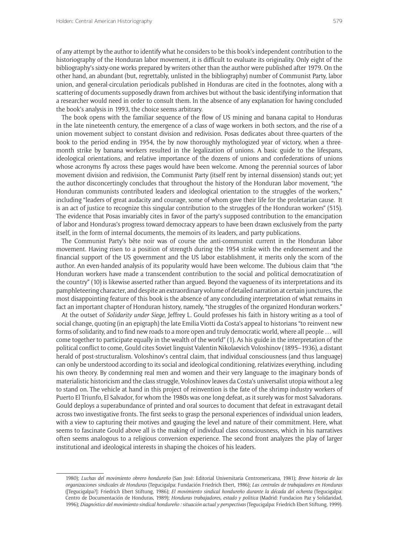of any attempt by the author to identify what he considers to be this book's independent contribution to the historiography of the Honduran labor movement, it is difficult to evaluate its originality. Only eight of the bibliography's sixty-one works prepared by writers other than the author were published after 1979. On the other hand, an abundant (but, regrettably, unlisted in the bibliography) number of Communist Party, labor union, and general-circulation periodicals published in Honduras are cited in the footnotes, along with a scattering of documents supposedly drawn from archives but without the basic identifying information that a researcher would need in order to consult them. In the absence of any explanation for having concluded the book's analysis in 1993, the choice seems arbitrary.

The book opens with the familiar sequence of the flow of US mining and banana capital to Honduras in the late nineteenth century, the emergence of a class of wage workers in both sectors, and the rise of a union movement subject to constant division and redivision. Posas dedicates about three-quarters of the book to the period ending in 1954, the by now thoroughly mythologized year of victory, when a threemonth strike by banana workers resulted in the legalization of unions. A basic guide to the lifespans, ideological orientations, and relative importance of the dozens of unions and confederations of unions whose acronyms fly across these pages would have been welcome. Among the perennial sources of labor movement division and redivision, the Communist Party (itself rent by internal dissension) stands out; yet the author disconcertingly concludes that throughout the history of the Honduran labor movement, "the Honduran communists contributed leaders and ideological orientation to the struggles of the workers," including "leaders of great audacity and courage, some of whom gave their life for the proletarian cause. It is an act of justice to recognize this singular contribution to the struggles of the Honduran workers" (515). The evidence that Posas invariably cites in favor of the party's supposed contribution to the emancipation of labor and Honduras's progress toward democracy appears to have been drawn exclusively from the party itself, in the form of internal documents, the memoirs of its leaders, and party publications.

The Communist Party's bête noir was of course the anti-communist current in the Honduran labor movement. Having risen to a position of strength during the 1954 strike with the endorsement and the financial support of the US government and the US labor establishment, it merits only the scorn of the author. An even-handed analysis of its popularity would have been welcome. The dubious claim that "the Honduran workers have made a transcendent contribution to the social and political democratization of the country" (10) is likewise asserted rather than argued. Beyond the vagueness of its interpretations and its pamphleteering character, and despite an extraordinary volume of detailed narration at certain junctures, the most disappointing feature of this book is the absence of any concluding interpretation of what remains in fact an important chapter of Honduran history, namely, "the struggles of the organized Honduran workers."

At the outset of *Solidarity under Siege*, Jeffrey L. Gould professes his faith in history writing as a tool of social change, quoting (in an epigraph) the late Emilia Viotti da Costa's appeal to historians "to reinvent new forms of solidarity, and to find new roads to a more open and truly democratic world, where all people … will come together to participate equally in the wealth of the world" (1). As his guide in the interpretation of the political conflict to come, Gould cites Soviet linguist Valentin Nikolaevich Voloshinov (1895–1936), a distant herald of post-structuralism. Voloshinov's central claim, that individual consciousness (and thus language) can only be understood according to its social and ideological conditioning, relativizes everything, including his own theory. By condemning real men and women and their very language to the imaginary bonds of materialistic historicism and the class struggle, Voloshinov leaves da Costa's universalist utopia without a leg to stand on. The vehicle at hand in this project of reinvention is the fate of the shrimp industry workers of Puerto El Triunfo, El Salvador, for whom the 1980s was one long defeat, as it surely was for most Salvadorans. Gould deploys a superabundance of printed and oral sources to document that defeat in extravagant detail across two investigative fronts. The first seeks to grasp the personal experiences of individual union leaders, with a view to capturing their motives and gauging the level and nature of their commitment. Here, what seems to fascinate Gould above all is the making of individual class consciousness, which in his narratives often seems analogous to a religious conversion experience. The second front analyzes the play of larger institutional and ideological interests in shaping the choices of his leaders.

<sup>1980);</sup> *Luchas del movimiento obrero hondureño* (San José: Editorial Universitaria Centromericana, 1981); *Breve historia de las organizaciones sindicales de Honduras* (Tegucigalpa: Fundación Friedrich Ebert, 1986); *Las centrales de trabajadores en Honduras* ([Tegucigalpa?]: Friedrich Ebert Stiftung, 1986); *El movimiento sindical hondureño durante la década del ochenta* (Tegucigalpa: Centro de Documentación de Honduras, 1989); *Honduras trabajadores, estado y politica* (Madrid: Fundacion Paz y Solidaridad, 1996); *Diagnóstico del movimiento sindical hondureño : situación actual y perspectivas* (Tegucigalpa: Friedrich Ebert Stiftung, 1999).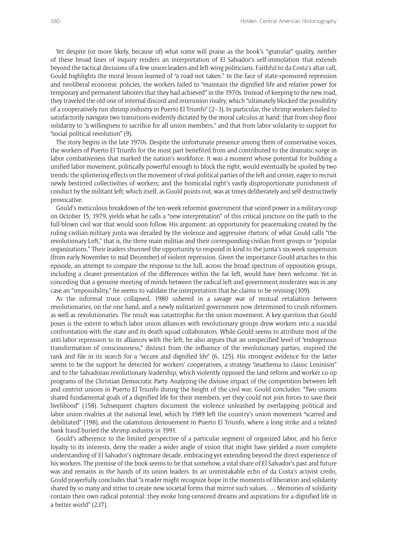Yet despite (or more likely, because of) what some will praise as the book's "granular" quality, neither of these broad lines of inquiry renders an interpretation of El Salvador's self-immolation that extends beyond the tactical decisions of a few union leaders and left-wing politicians. Faithful to da Costa's altar call, Gould highlights the moral lesson learned of "a road not taken." In the face of state-sponsored repression and neoliberal economic policies, the workers failed to "maintain the dignified life and relative power for temporary and permanent laborers that they had achieved" in the 1970s. Instead of keeping to the new road, they traveled the old one of internal discord and interunion rivalry, which "ultimately blocked the possibility of a cooperatively run shrimp industry in Puerto El Triunfo" (2–3). In particular, the shrimp workers failed to satisfactorily navigate two transitions evidently dictated by the moral calculus at hand: that from shop floor solidarity to "a willingness to sacrifice for all union members," and that from labor solidarity to support for "social-political revolution" (9).

The story begins in the late 1970s. Despite the unfortunate presence among them of conservative voices, the workers of Puerto El Triunfo for the most part benefited from and contributed to the dramatic surge in labor combativeness that marked the nation's workforce. It was a moment whose potential for building a unified labor movement, politically powerful enough to block the right, would eventually be spoiled by two trends: the splintering effects on the movement of rival political parties of the left and center, eager to recruit newly bestirred collectivities of workers; and the homicidal right's vastly disproportionate punishment of conduct by the militant left, which itself, as Gould points out, was at times deliberately and self-destructively provocative.

Gould's meticulous breakdown of the ten-week reformist government that seized power in a military coup on October 15, 1979, yields what he calls a "new interpretation" of this critical juncture on the path to the full-blown civil war that would soon follow. His argument: an opportunity for peacemaking created by the ruling civilian-military junta was derailed by the violence and aggressive rhetoric of what Gould calls "the revolutionary Left," that is, the three main militias and their corresponding civilian front groups or "popular organizations." Their leaders shunned the opportunity to respond in kind to the junta's six-week suspension (from early November to mid-December) of violent repression. Given the importance Gould attaches to this episode, an attempt to compare the response to the lull, across the broad spectrum of opposition groups, including a clearer presentation of the differences within the far left, would have been welcome. Yet in conceding that a genuine meeting of minds between the radical left and government moderates was in any case an "impossibility," he seems to validate the interpretation that he claims to be revising (109).

As the informal truce collapsed, 1980 ushered in a savage war of mutual retaliation between revolutionaries, on the one hand, and a newly militarized government now determined to crush reformers as well as revolutionaries. The result was catastrophic for the union movement. A key question that Gould poses is the extent to which labor union alliances with revolutionary groups drew workers into a suicidal confrontation with the state and its death squad collaborators. While Gould seems to attribute most of the anti-labor repression to its alliances with the left, he also argues that an unspecified level of "endogenous transformation of consciousness," distinct from the influence of the revolutionary parties, inspired the rank and file in its search for a "secure and dignified life" (6, 125). His strongest evidence for the latter seems to be the support he detected for workers' cooperatives, a strategy "anathema to classic Leninism" and to the Salvadoran revolutionary leadership, which violently opposed the land reform and worker co-op programs of the Christian Democratic Party. Analyzing the divisive impact of the competition between left and centrist unions in Puerto El Triunfo during the height of the civil war, Gould concludes: "Two unions shared fundamental goals of a dignified life for their members, yet they could not join forces to save their livelihood" (158). Subsequent chapters document the violence unleashed by overlapping political and labor union rivalries at the national level, which by 1989 left the country's union movement "scarred and debilitated" (198), and the calamitous denouement in Puerto El Triunfo, where a long strike and a related bank fraud buried the shrimp industry in 1991.

Gould's adherence to the limited perspective of a particular segment of organized labor, and his fierce loyalty to its interests, deny the reader a wider angle of vision that might have yielded a more complete understanding of El Salvador's nightmare decade, embracing yet extending beyond the direct experience of his workers. The premise of the book seems to be that somehow, a vital share of El Salvador's past and future was and remains in the hands of its union leaders. In an unmistakable echo of da Costa's activist credo, Gould prayerfully concludes that "a reader might recognize hope in the moments of liberation and solidarity shared by so many and strive to create new societal forms that mirror such values. … Memories of solidarity contain their own radical potential: they evoke long-censored dreams and aspirations for a dignified life in a better world" (237).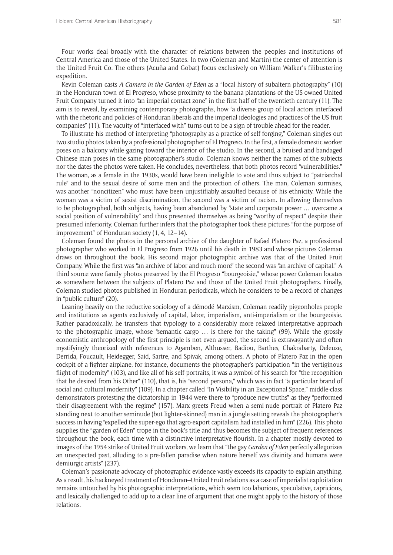Four works deal broadly with the character of relations between the peoples and institutions of Central America and those of the United States. In two (Coleman and Martin) the center of attention is the United Fruit Co. The others (Acuña and Gobat) focus exclusively on William Walker's filibustering expedition.

Kevin Coleman casts *A Camera in the Garden of Eden* as a "local history of subaltern photography" (10) in the Honduran town of El Progreso, whose proximity to the banana plantations of the US-owned United Fruit Company turned it into "an imperial contact zone" in the first half of the twentieth century (11). The aim is to reveal, by examining contemporary photographs, how "a diverse group of local actors interfaced with the rhetoric and policies of Honduran liberals and the imperial ideologies and practices of the US fruit companies" (11). The vacuity of "interfaced with" turns out to be a sign of trouble ahead for the reader.

To illustrate his method of interpreting "photography as a practice of self-forging," Coleman singles out two studio photos taken by a professional photographer of El Progreso. In the first, a female domestic worker poses on a balcony while gazing toward the interior of the studio. In the second, a bruised and bandaged Chinese man poses in the same photographer's studio. Coleman knows neither the names of the subjects nor the dates the photos were taken. He concludes, nevertheless, that both photos record "vulnerabilities." The woman, as a female in the 1930s, would have been ineligible to vote and thus subject to "patriarchal rule" and to the sexual desire of some men and the protection of others. The man, Coleman surmises, was another "noncitizen" who must have been unjustifiably assaulted because of his ethnicity. While the woman was a victim of sexist discrimination, the second was a victim of racism. In allowing themselves to be photographed, both subjects, having been abandoned by "state and corporate power … overcame a social position of vulnerability" and thus presented themselves as being "worthy of respect" despite their presumed inferiority. Coleman further infers that the photographer took these pictures "for the purpose of improvement" of Honduran society (1, 4, 12–14).

Coleman found the photos in the personal archive of the daughter of Rafael Platero Paz, a professional photographer who worked in El Progreso from 1926 until his death in 1983 and whose pictures Coleman draws on throughout the book. His second major photographic archive was that of the United Fruit Company. While the first was "an archive of labor and much more" the second was "an archive of capital." A third source were family photos preserved by the El Progreso "bourgeoisie," whose power Coleman locates as somewhere between the subjects of Platero Paz and those of the United Fruit photographers. Finally, Coleman studied photos published in Honduran periodicals, which he considers to be a record of changes in "public culture" (20).

Leaning heavily on the reductive sociology of a démodé Marxism, Coleman readily pigeonholes people and institutions as agents exclusively of capital, labor, imperialism, anti-imperialism or the bourgeoisie. Rather paradoxically, he transfers that typology to a considerably more relaxed interpretative approach to the photographic image, whose "semantic cargo … is there for the taking" (99). While the grossly economistic anthropology of the first principle is not even argued, the second is extravagantly and often mystifyingly theorized with references to Agamben, Althusser, Badiou, Barthes, Chakrabarty, Deleuze, Derrida, Foucault, Heidegger, Said, Sartre, and Spivak, among others. A photo of Platero Paz in the open cockpit of a fighter airplane, for instance, documents the photographer's participation "in the vertiginous flight of modernity" (103), and like all of his self-portraits, it was a symbol of his search for "the recognition that he desired from his Other" (110), that is, his "second persona," which was in fact "a particular brand of social and cultural modernity" (109). In a chapter called "In Visibility in an Exceptional Space," middle-class demonstrators protesting the dictatorship in 1944 were there to "produce new truths" as they "performed their disagreement with the regime" (157). Marx greets Freud when a semi-nude portrait of Platero Paz standing next to another seminude (but lighter-skinned) man in a jungle setting reveals the photographer's success in having "expelled the super-ego that agro-export capitalism had installed in him" (226). This photo supplies the "garden of Eden" trope in the book's title and thus becomes the subject of frequent references throughout the book, each time with a distinctive interpretative flourish. In a chapter mostly devoted to images of the 1954 strike of United Fruit workers, we learn that "the gay *Garden of Eden* perfectly allegorizes an unexpected past, alluding to a pre-fallen paradise when nature herself was divinity and humans were demiurgic artists" (237).

Coleman's passionate advocacy of photographic evidence vastly exceeds its capacity to explain anything. As a result, his hackneyed treatment of Honduran–United Fruit relations as a case of imperialist exploitation remains untouched by his photographic interpretations, which seem too laborious, speculative, capricious, and lexically challenged to add up to a clear line of argument that one might apply to the history of those relations.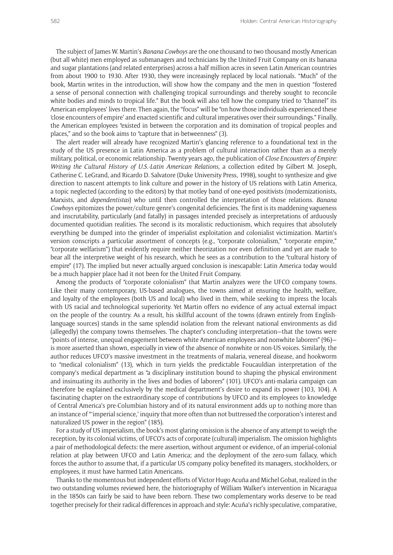The subject of James W. Martin's *Banana Cowboys* are the one thousand to two thousand mostly American (but all white) men employed as submanagers and technicians by the United Fruit Company on its banana and sugar plantations (and related enterprises) across a half million acres in seven Latin American countries from about 1900 to 1930. After 1930, they were increasingly replaced by local nationals. "Much" of the book, Martin writes in the introduction, will show how the company and the men in question "fostered a sense of personal connection with challenging tropical surroundings and thereby sought to reconcile white bodies and minds to tropical life." But the book will also tell how the company tried to "channel" its American employees' lives there. Then again, the "focus" will be "on how those individuals experienced these 'close encounters of empire' and enacted scientific and cultural imperatives over their surroundings." Finally, the American employees "existed in between the corporation and its domination of tropical peoples and places," and so the book aims to "capture that in-betweenness" (3).

The alert reader will already have recognized Martin's glancing reference to a foundational text in the study of the US presence in Latin America as a problem of cultural interaction rather than as a merely military, political, or economic relationship. Twenty years ago, the publication of *Close Encounters of Empire: Writing the Cultural History of U.S.-Latin American Relations,* a collection edited by Gilbert M. Joseph, Catherine C. LeGrand, and Ricardo D. Salvatore (Duke University Press, 1998), sought to synthesize and give direction to nascent attempts to link culture and power in the history of US relations with Latin America, a topic neglected (according to the editors) by that motley band of one-eyed positivists (modernizationists, Marxists, and *dependentistas*) who until then controlled the interpretation of those relations. *Banana Cowboys* epitomizes the power/culture genre's congenital deficiencies. The first is its maddening vagueness and inscrutability, particularly (and fatally) in passages intended precisely as interpretations of arduously documented quotidian realities. The second is its moralistic reductionism, which requires that absolutely everything be dumped into the grinder of imperialist exploitation and colonialist victimization. Martin's version conscripts a particular assortment of concepts (e.g., "corporate colonialism," "corporate empire," "corporate welfarism") that evidently require neither theorization nor even definition and yet are made to bear all the interpretive weight of his research, which he sees as a contribution to the "cultural history of empire" (17). The implied but never actually argued conclusion is inescapable: Latin America today would be a much happier place had it not been for the United Fruit Company.

Among the products of "corporate colonialism" that Martin analyzes were the UFCO company towns. Like their many contemporary, US-based analogues, the towns aimed at ensuring the health, welfare, and loyalty of the employees (both US and local) who lived in them, while seeking to impress the locals with US racial and technological superiority. Yet Martin offers no evidence of any actual external impact on the people of the country. As a result, his skillful account of the towns (drawn entirely from Englishlanguage sources) stands in the same splendid isolation from the relevant national environments as did (allegedly) the company towns themselves. The chapter's concluding interpretation—that the towns were "points of intense, unequal engagement between white American employees and nonwhite laborers" (96) is more asserted than shown, especially in view of the absence of nonwhite or non-US voices. Similarly, the author reduces UFCO's massive investment in the treatments of malaria, venereal disease, and hookworm to "medical colonialism" (13), which in turn yields the predictable Foucauldian interpretation of the company's medical department as "a disciplinary institution bound to shaping the physical environment and insinuating its authority in the lives and bodies of laborers" (101). UFCO's anti-malaria campaign can therefore be explained exclusively by the medical department's desire to expand its power (103, 104). A fascinating chapter on the extraordinary scope of contributions by UFCO and its employees to knowledge of Central America's pre-Columbian history and of its natural environment adds up to nothing more than an instance of "'imperial science,' inquiry that more often than not buttressed the corporation's interest and naturalized US power in the region" (185).

For a study of US imperialism, the book's most glaring omission is the absence of any attempt to weigh the reception, by its colonial victims, of UFCO's acts of corporate (cultural) imperialism. The omission highlights a pair of methodological defects: the mere assertion, without argument or evidence, of an imperial-colonial relation at play between UFCO and Latin America; and the deployment of the zero-sum fallacy, which forces the author to assume that, if a particular US company policy benefited its managers, stockholders, or employees, it must have harmed Latin Americans.

Thanks to the momentous but independent efforts of Victor Hugo Acuña and Michel Gobat, realized in the two outstanding volumes reviewed here, the historiography of William Walker's intervention in Nicaragua in the 1850s can fairly be said to have been reborn. These two complementary works deserve to be read together precisely for their radical differences in approach and style: Acuña's richly speculative, comparative,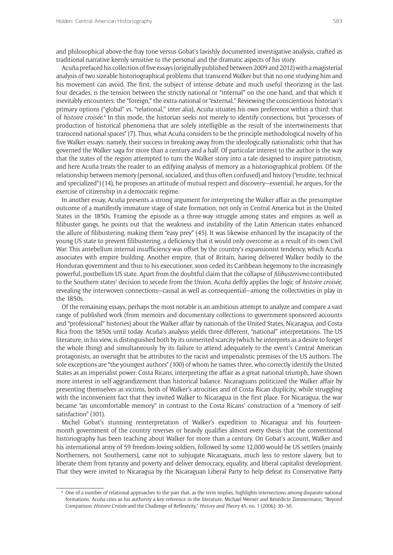and philosophical above-the-fray tone versus Gobat's lavishly documented investigative analysis, crafted as traditional narrative keenly sensitive to the personal and the dramatic aspects of his story.

Acuña prefaced his collection of five essays (originally published between 2009 and 2012) with a magisterial analysis of two sizeable historiographical problems that transcend Walker but that no one studying him and his movement can avoid. The first, the subject of intense debate and much useful theorizing in the last four decades, is the tension between the strictly national or "internal" on the one hand, and that which it inevitably encounters: the "foreign," the extra-national or "external." Reviewing the conscientious historian's primary options ("global" vs. "relational," inter alia), Acuña situates his own preference within a third: that of *histoire croisée*. 4 In this mode, the historian seeks not merely to identify connections, but "processes of production of historical phenomena that are solely intelligible as the result of the intertwinements that transcend national spaces" (7). Thus, what Acuña considers to be the principle methodological novelty of his five Walker essays: namely, their success in breaking away from the ideologically nationalistic orbit that has governed the Walker saga for more than a century and a half. Of particular interest to the author is the way that the states of the region attempted to turn the Walker story into a tale designed to inspire patriotism, and here Acuña treats the reader to an edifying analysis of memory as a historiographical problem. Of the relationship between memory (personal, socialized, and thus often confused) and history ("erudite, technical and specialized") (14), he proposes an attitude of mutual respect and discovery—essential, he argues, for the exercise of citizenship in a democratic regime.

In another essay, Acuña presents a strong argument for interpreting the Walker affair as the presumptive outcome of a manifestly immature stage of state formation, not only in Central America but in the United States in the 1850s. Framing the episode as a three-way struggle among states and empires as well as filibuster gangs, he points out that the weakness and instability of the Latin American states enhanced the allure of filibustering, making them "easy prey" (45). It was likewise enhanced by the incapacity of the young US state to prevent filibustering, a deficiency that it would only overcome as a result of its own Civil War. This antebellum internal insufficiency was offset by the country's expansionist tendency, which Acuña associates with empire building. Another empire, that of Britain, having delivered Walker bodily to the Honduran government and thus to his executioner, soon ceded its Caribbean hegemony to the increasingly powerful, postbellum US state. Apart from the doubtful claim that the collapse of *filibusterismo* contributed to the Southern states' decision to secede from the Union, Acuña deftly applies the logic of *histoire croisée*, revealing the interwoven connections—causal as well as consequential—among the collectivities in play in the 1850s.

Of the remaining essays, perhaps the most notable is an ambitious attempt to analyze and compare a vast range of published work (from memoirs and documentary collections to government-sponsored accounts and "professional" histories) about the Walker affair by nationals of the United States, Nicaragua, and Costa Rica from the 1850s until today. Acuña's analysis yields three different, "national" interpretations. The US literature, in his view, is distinguished both by its unmerited scarcity (which he interprets as a desire to forget the whole thing) and simultaneously by its failure to attend adequately to the event's Central American protagonists, an oversight that he attributes to the racist and imperialistic premises of the US authors. The sole exceptions are "the youngest authors" (100) of whom he names three, who correctly identify the United States as an imperialist power. Costa Ricans, interpreting the affair as a great national triumph, have shown more interest in self-aggrandizement than historical balance. Nicaraguans politicized the Walker affair by presenting themselves as victims, both of Walker's atrocities and of Costa Rican duplicity, while struggling with the inconvenient fact that they invited Walker to Nicaragua in the first place. For Nicaragua, the war became "an uncomfortable memory" in contrast to the Costa Ricans' construction of a "memory of selfsatisfaction" (101).

Michel Gobat's stunning reinterpretation of Walker's expedition to Nicaragua and his fourteenmonth government of the country reverses or heavily qualifies almost every thesis that the conventional historiography has been teaching about Walker for more than a century. On Gobat's account, Walker and his international army of 59 freedom-loving soldiers, followed by some 12,000 would-be US settlers (mainly Northerners, not Southerners), came not to subjugate Nicaraguans, much less to restore slavery, but to liberate them from tyranny and poverty and deliver democracy, equality, and liberal capitalist development. That they were invited to Nicaragua by the Nicaraguan Liberal Party to help defeat its Conservative Party

<sup>4</sup> One of a number of relational approaches to the past that, as the term implies, highlights intersections among disparate national formations. Acuña cites as his authority a key reference in the literature, Michael Werner and Bénédicte Zimmermann, "Beyond Comparison: *Histoire Croisée* and the Challenge of Reflexivity," *History and Theory* 45, no. 1 (2006): 30–50.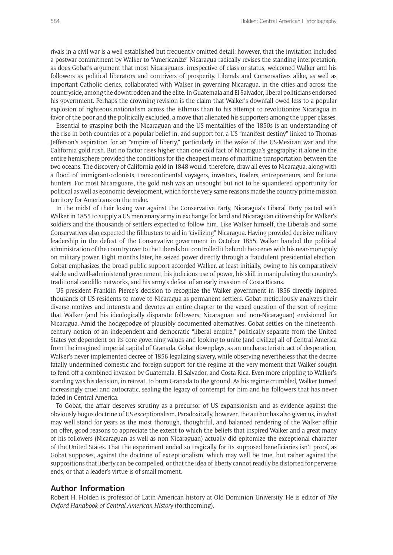rivals in a civil war is a well-established but frequently omitted detail; however, that the invitation included a postwar commitment by Walker to "Americanize" Nicaragua radically revises the standing interpretation, as does Gobat's argument that most Nicaraguans, irrespective of class or status, welcomed Walker and his followers as political liberators and contrivers of prosperity. Liberals and Conservatives alike, as well as important Catholic clerics, collaborated with Walker in governing Nicaragua, in the cities and across the countryside, among the downtrodden and the elite. In Guatemala and El Salvador, liberal politicians endorsed his government. Perhaps the crowning revision is the claim that Walker's downfall owed less to a popular explosion of righteous nationalism across the isthmus than to his attempt to revolutionize Nicaragua in favor of the poor and the politically excluded, a move that alienated his supporters among the upper classes.

Essential to grasping both the Nicaraguan and the US mentalities of the 1850s is an understanding of the rise in both countries of a popular belief in, and support for, a US "manifest destiny" linked to Thomas Jefferson's aspiration for an "empire of liberty," particularly in the wake of the US-Mexican war and the California gold rush. But no factor rises higher than one cold fact of Nicaragua's geography: it alone in the entire hemisphere provided the conditions for the cheapest means of maritime transportation between the two oceans. The discovery of California gold in 1848 would, therefore, draw all eyes to Nicaragua, along with a flood of immigrant-colonists, transcontinental voyagers, investors, traders, entrepreneurs, and fortune hunters. For most Nicaraguans, the gold rush was an unsought but not to be squandered opportunity for political as well as economic development, which for the very same reasons made the country prime mission territory for Americans on the make.

In the midst of their losing war against the Conservative Party, Nicaragua's Liberal Party pacted with Walker in 1855 to supply a US mercenary army in exchange for land and Nicaraguan citizenship for Walker's soldiers and the thousands of settlers expected to follow him. Like Walker himself, the Liberals and some Conservatives also expected the filibusters to aid in "civilizing" Nicaragua. Having provided decisive military leadership in the defeat of the Conservative government in October 1855, Walker handed the political administration of the country over to the Liberals but controlled it behind the scenes with his near-monopoly on military power. Eight months later, he seized power directly through a fraudulent presidential election. Gobat emphasizes the broad public support accorded Walker, at least initially, owing to his comparatively stable and well-administered government, his judicious use of power, his skill in manipulating the country's traditional caudillo networks, and his army's defeat of an early invasion of Costa Ricans.

US president Franklin Pierce's decision to recognize the Walker government in 1856 directly inspired thousands of US residents to move to Nicaragua as permanent settlers. Gobat meticulously analyzes their diverse motives and interests and devotes an entire chapter to the vexed question of the sort of regime that Walker (and his ideologically disparate followers, Nicaraguan and non-Nicaraguan) envisioned for Nicaragua. Amid the hodgepodge of plausibly documented alternatives, Gobat settles on the nineteenthcentury notion of an independent and democratic "liberal empire," politically separate from the United States yet dependent on its core governing values and looking to unite (and civilize) all of Central America from the imagined imperial capital of Granada. Gobat downplays, as an uncharacteristic act of desperation, Walker's never-implemented decree of 1856 legalizing slavery, while observing nevertheless that the decree fatally undermined domestic and foreign support for the regime at the very moment that Walker sought to fend off a combined invasion by Guatemala, El Salvador, and Costa Rica. Even more crippling to Walker's standing was his decision, in retreat, to burn Granada to the ground. As his regime crumbled, Walker turned increasingly cruel and autocratic, sealing the legacy of contempt for him and his followers that has never faded in Central America.

To Gobat, the affair deserves scrutiny as a precursor of US expansionism and as evidence against the obviously bogus doctrine of US exceptionalism. Paradoxically, however, the author has also given us, in what may well stand for years as the most thorough, thoughtful, and balanced rendering of the Walker affair on offer, good reasons to appreciate the extent to which the beliefs that inspired Walker and a great many of his followers (Nicaraguan as well as non-Nicaraguan) actually did epitomize the exceptional character of the United States. That the experiment ended so tragically for its supposed beneficiaries isn't proof, as Gobat supposes, against the doctrine of exceptionalism, which may well be true, but rather against the suppositions that liberty can be compelled, or that the idea of liberty cannot readily be distorted for perverse ends, or that a leader's virtue is of small moment.

## **Author Information**

Robert H. Holden is professor of Latin American history at Old Dominion University. He is editor of *The Oxford Handbook of Central American Histor*y (forthcoming).